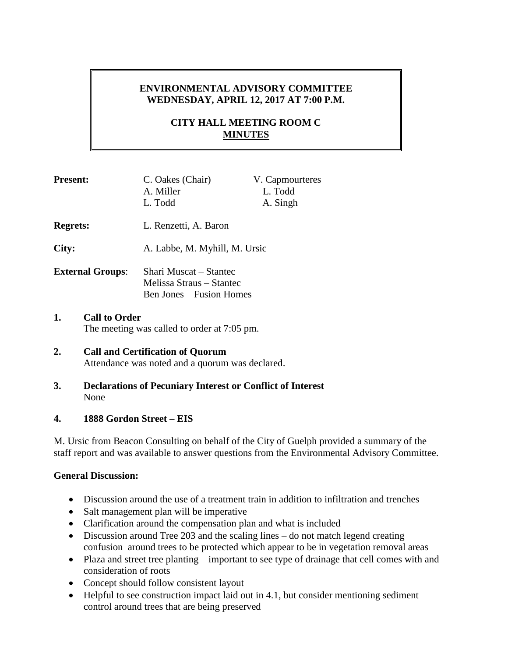## **ENVIRONMENTAL ADVISORY COMMITTEE WEDNESDAY, APRIL 12, 2017 AT 7:00 P.M.**

# **CITY HALL MEETING ROOM C MINUTES**

| <b>Present:</b>         | C. Oakes (Chair)<br>A. Miller                                                         | V. Capmourteres<br>L. Todd |
|-------------------------|---------------------------------------------------------------------------------------|----------------------------|
|                         | L. Todd                                                                               | A. Singh                   |
| <b>Regrets:</b>         | L. Renzetti, A. Baron                                                                 |                            |
| City:                   | A. Labbe, M. Myhill, M. Ursic                                                         |                            |
| <b>External Groups:</b> | Shari Muscat – Stantec<br>Melissa Straus – Stantec<br><b>Ben Jones – Fusion Homes</b> |                            |

**1. Call to Order** The meeting was called to order at 7:05 pm.

### **2. Call and Certification of Quorum** Attendance was noted and a quorum was declared.

**3. Declarations of Pecuniary Interest or Conflict of Interest** None

## **4. 1888 Gordon Street – EIS**

M. Ursic from Beacon Consulting on behalf of the City of Guelph provided a summary of the staff report and was available to answer questions from the Environmental Advisory Committee.

## **General Discussion:**

- Discussion around the use of a treatment train in addition to infiltration and trenches
- Salt management plan will be imperative
- Clarification around the compensation plan and what is included
- Discussion around Tree 203 and the scaling lines do not match legend creating confusion around trees to be protected which appear to be in vegetation removal areas
- Plaza and street tree planting important to see type of drainage that cell comes with and consideration of roots
- Concept should follow consistent layout
- Helpful to see construction impact laid out in 4.1, but consider mentioning sediment control around trees that are being preserved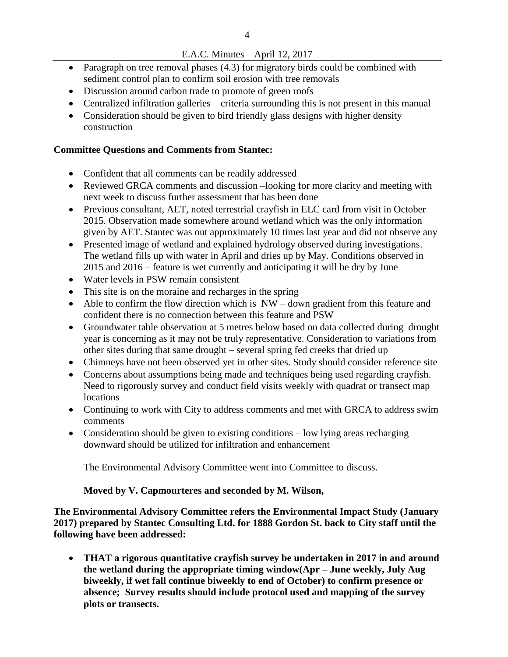## E.A.C. Minutes – April 12, 2017

- Paragraph on tree removal phases (4.3) for migratory birds could be combined with sediment control plan to confirm soil erosion with tree removals
- Discussion around carbon trade to promote of green roofs
- Centralized infiltration galleries criteria surrounding this is not present in this manual
- Consideration should be given to bird friendly glass designs with higher density construction

### **Committee Questions and Comments from Stantec:**

- Confident that all comments can be readily addressed
- Reviewed GRCA comments and discussion –looking for more clarity and meeting with next week to discuss further assessment that has been done
- Previous consultant, AET, noted terrestrial crayfish in ELC card from visit in October 2015. Observation made somewhere around wetland which was the only information given by AET. Stantec was out approximately 10 times last year and did not observe any
- Presented image of wetland and explained hydrology observed during investigations. The wetland fills up with water in April and dries up by May. Conditions observed in 2015 and 2016 – feature is wet currently and anticipating it will be dry by June
- Water levels in PSW remain consistent
- This site is on the moraine and recharges in the spring
- Able to confirm the flow direction which is NW down gradient from this feature and confident there is no connection between this feature and PSW
- Groundwater table observation at 5 metres below based on data collected during drought year is concerning as it may not be truly representative. Consideration to variations from other sites during that same drought – several spring fed creeks that dried up
- Chimneys have not been observed yet in other sites. Study should consider reference site
- Concerns about assumptions being made and techniques being used regarding crayfish. Need to rigorously survey and conduct field visits weekly with quadrat or transect map locations
- Continuing to work with City to address comments and met with GRCA to address swim comments
- Consideration should be given to existing conditions low lying areas recharging downward should be utilized for infiltration and enhancement

The Environmental Advisory Committee went into Committee to discuss.

## **Moved by V. Capmourteres and seconded by M. Wilson,**

**The Environmental Advisory Committee refers the Environmental Impact Study (January 2017) prepared by Stantec Consulting Ltd. for 1888 Gordon St. back to City staff until the following have been addressed:** 

 **THAT a rigorous quantitative crayfish survey be undertaken in 2017 in and around the wetland during the appropriate timing window(Apr – June weekly, July Aug biweekly, if wet fall continue biweekly to end of October) to confirm presence or absence; Survey results should include protocol used and mapping of the survey plots or transects.**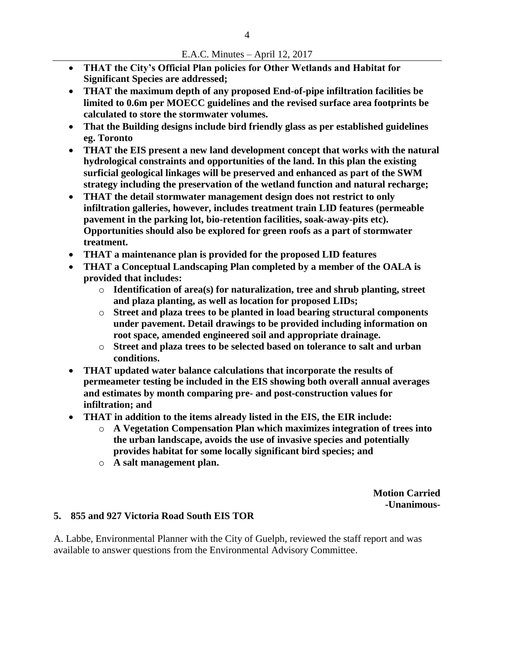- **THAT the City's Official Plan policies for Other Wetlands and Habitat for Significant Species are addressed;**
- **THAT the maximum depth of any proposed End-of-pipe infiltration facilities be limited to 0.6m per MOECC guidelines and the revised surface area footprints be calculated to store the stormwater volumes.**
- **That the Building designs include bird friendly glass as per established guidelines eg. Toronto**
- **THAT the EIS present a new land development concept that works with the natural hydrological constraints and opportunities of the land. In this plan the existing surficial geological linkages will be preserved and enhanced as part of the SWM strategy including the preservation of the wetland function and natural recharge;**
- **THAT the detail stormwater management design does not restrict to only infiltration galleries, however, includes treatment train LID features (permeable pavement in the parking lot, bio-retention facilities, soak-away-pits etc). Opportunities should also be explored for green roofs as a part of stormwater treatment.**
- **THAT a maintenance plan is provided for the proposed LID features**
- **THAT a Conceptual Landscaping Plan completed by a member of the OALA is provided that includes:** 
	- o **Identification of area(s) for naturalization, tree and shrub planting, street and plaza planting, as well as location for proposed LIDs;**
	- o **Street and plaza trees to be planted in load bearing structural components under pavement. Detail drawings to be provided including information on root space, amended engineered soil and appropriate drainage.**
	- o **Street and plaza trees to be selected based on tolerance to salt and urban conditions.**
- **THAT updated water balance calculations that incorporate the results of permeameter testing be included in the EIS showing both overall annual averages and estimates by month comparing pre- and post-construction values for infiltration; and**
- **THAT in addition to the items already listed in the EIS, the EIR include:** 
	- o **A Vegetation Compensation Plan which maximizes integration of trees into the urban landscape, avoids the use of invasive species and potentially provides habitat for some locally significant bird species; and**
	- o **A salt management plan.**

**Motion Carried -Unanimous-**

### **5. 855 and 927 Victoria Road South EIS TOR**

A. Labbe, Environmental Planner with the City of Guelph, reviewed the staff report and was available to answer questions from the Environmental Advisory Committee.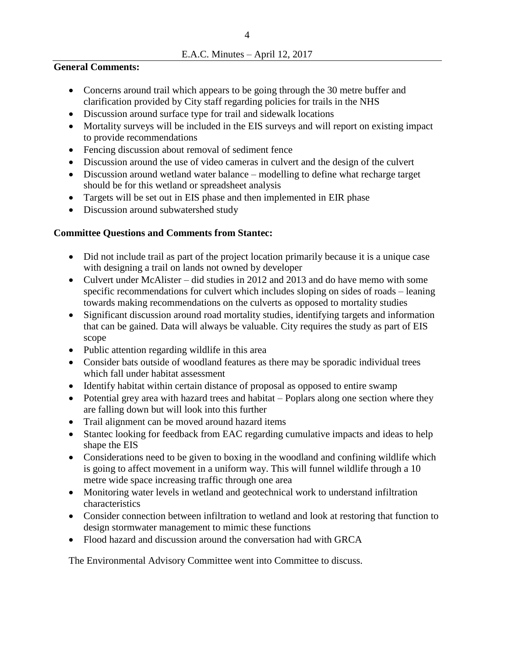#### **General Comments:**

- Concerns around trail which appears to be going through the 30 metre buffer and clarification provided by City staff regarding policies for trails in the NHS
- Discussion around surface type for trail and sidewalk locations
- Mortality surveys will be included in the EIS surveys and will report on existing impact to provide recommendations
- Fencing discussion about removal of sediment fence
- Discussion around the use of video cameras in culvert and the design of the culvert
- Discussion around wetland water balance modelling to define what recharge target should be for this wetland or spreadsheet analysis
- Targets will be set out in EIS phase and then implemented in EIR phase
- Discussion around subwatershed study

## **Committee Questions and Comments from Stantec:**

- Did not include trail as part of the project location primarily because it is a unique case with designing a trail on lands not owned by developer
- Culvert under McAlister did studies in 2012 and 2013 and do have memo with some specific recommendations for culvert which includes sloping on sides of roads – leaning towards making recommendations on the culverts as opposed to mortality studies
- Significant discussion around road mortality studies, identifying targets and information that can be gained. Data will always be valuable. City requires the study as part of EIS scope
- Public attention regarding wildlife in this area
- Consider bats outside of woodland features as there may be sporadic individual trees which fall under habitat assessment
- Identify habitat within certain distance of proposal as opposed to entire swamp
- Potential grey area with hazard trees and habitat Poplars along one section where they are falling down but will look into this further
- Trail alignment can be moved around hazard items
- Stantec looking for feedback from EAC regarding cumulative impacts and ideas to help shape the EIS
- Considerations need to be given to boxing in the woodland and confining wildlife which is going to affect movement in a uniform way. This will funnel wildlife through a 10 metre wide space increasing traffic through one area
- Monitoring water levels in wetland and geotechnical work to understand infiltration characteristics
- Consider connection between infiltration to wetland and look at restoring that function to design stormwater management to mimic these functions
- Flood hazard and discussion around the conversation had with GRCA

The Environmental Advisory Committee went into Committee to discuss.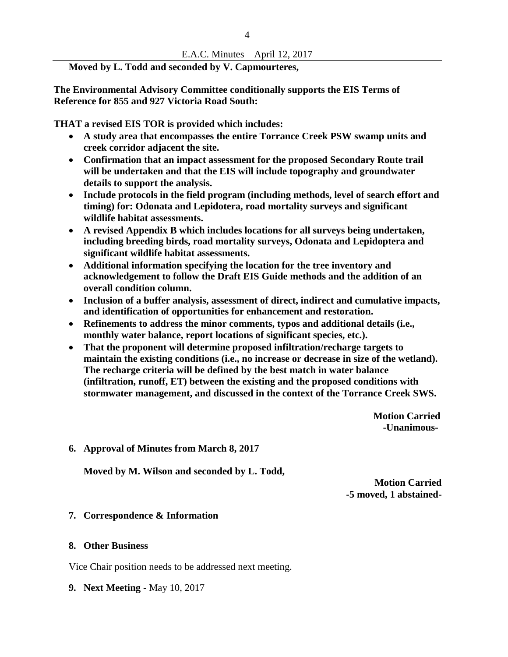#### E.A.C. Minutes – April 12, 2017

### **Moved by L. Todd and seconded by V. Capmourteres,**

**The Environmental Advisory Committee conditionally supports the EIS Terms of Reference for 855 and 927 Victoria Road South:** 

**THAT a revised EIS TOR is provided which includes:** 

- **A study area that encompasses the entire Torrance Creek PSW swamp units and creek corridor adjacent the site.**
- **Confirmation that an impact assessment for the proposed Secondary Route trail will be undertaken and that the EIS will include topography and groundwater details to support the analysis.**
- **Include protocols in the field program (including methods, level of search effort and timing) for: Odonata and Lepidotera, road mortality surveys and significant wildlife habitat assessments.**
- **A revised Appendix B which includes locations for all surveys being undertaken, including breeding birds, road mortality surveys, Odonata and Lepidoptera and significant wildlife habitat assessments.**
- **Additional information specifying the location for the tree inventory and acknowledgement to follow the Draft EIS Guide methods and the addition of an overall condition column.**
- **Inclusion of a buffer analysis, assessment of direct, indirect and cumulative impacts, and identification of opportunities for enhancement and restoration.**
- **Refinements to address the minor comments, typos and additional details (i.e., monthly water balance, report locations of significant species, etc.).**
- **That the proponent will determine proposed infiltration/recharge targets to maintain the existing conditions (i.e., no increase or decrease in size of the wetland). The recharge criteria will be defined by the best match in water balance (infiltration, runoff, ET) between the existing and the proposed conditions with stormwater management, and discussed in the context of the Torrance Creek SWS.**

**Motion Carried -Unanimous-**

**6. Approval of Minutes from March 8, 2017**

**Moved by M. Wilson and seconded by L. Todd,** 

**Motion Carried -5 moved, 1 abstained-**

#### **7. Correspondence & Information**

#### **8. Other Business**

Vice Chair position needs to be addressed next meeting.

**9. Next Meeting -** May 10, 2017